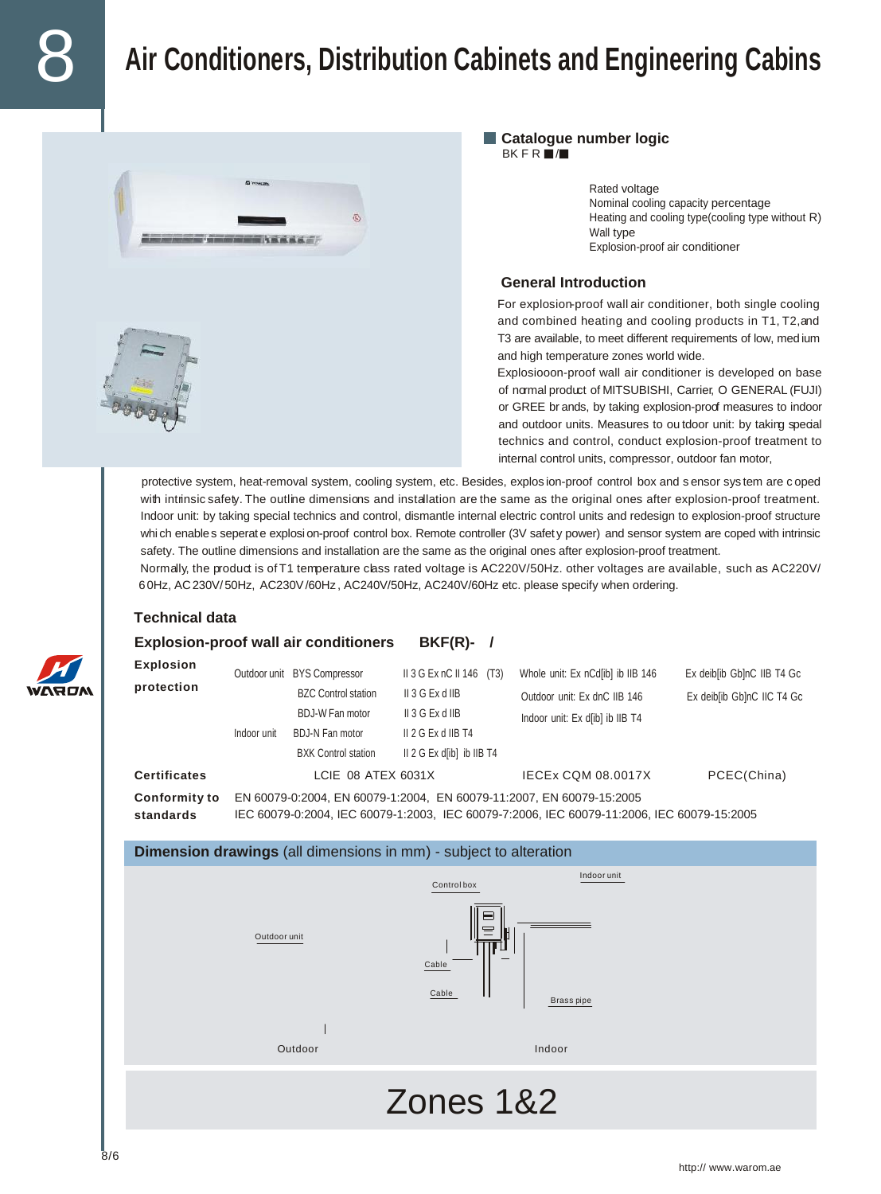# 8 **Air Conditioners, Distribution Cabinets and Engineering Cabins**





Rated voltage Nominal cooling capacity percentage Heating and cooling type(cooling type without R) Wall type Explosion-proof air conditioner

#### **General Introduction**

For explosion-proof wall air conditioner, both single cooling and combined heating and cooling products in T1, T2,and T3 are available, to meet different requirements of low, med ium and high temperature zones world wide.

Explosiooon-proof wall air conditioner is developed on base of normal product of MITSUBISHI, Carrier, O GENERAL (FUJI) or GREE br ands, by taking explosion-proof measures to indoor and outdoor units. Measures to ou tdoor unit: by taking special technics and control, conduct explosion-proof treatment to internal control units, compressor, outdoor fan motor,

protective system, heat-removal system, cooling system, etc. Besides, explos ion-proof control box and s ensor sys tem are c oped with intrinsic safety. The outline dimensions and installation are the same as the original ones after explosion-proof treatment. Indoor unit: by taking special technics and control, dismantle internal electric control units and redesign to explosion-proof structure whi ch enables seperate explosion-proof control box. Remote controller (3V safety power) and sensor system are coped with intrinsic safety. The outline dimensions and installation are the same as the original ones after explosion-proof treatment.

Normally, the product is of T1 temperature class rated voltage is AC220V/50Hz. other voltages are available, such as AC220V/ 6 0Hz, AC230V/ 50Hz, AC230V/60Hz , AC240V/50Hz, AC240V/60Hz etc. please specify when ordering.

#### **Technical data**

## **Explosion-proof wall air conditioners BKF(R)- / Explosion**<br>
Outdoor unit BYS Compressor II 3 G Ex nC II 146 (T3) Whole unit: Ex nCd[ib] ib IIB 146 Ex deib[ib Gb]nC IIB T4 Gc **protection BZC Control station** II 3 G Ex d IIB **Dutdoor unit: Ex dnC IIB 146** Ex deib[ib Gb]nC IIC T4 Gc BDJ-W Fan motor II 3 G Ex d IIB Indoor unit: Ex d[ib] ib IIB T4 Indoor unit BDJ-N Fan motor II 2 G Ex d IIB T4 BXK Control station II 2 G Ex d[ib] ib IIB T4 **Certificates** LCIE 08 ATEX 6031X IECEx CQM 08.0017X PCEC(China) **Conformity to** EN 60079-0:2004, EN 60079-1:2004, EN 60079-11:2007, EN 60079-15:2005 **standards** IEC 60079-0:2004, IEC 60079-1:2003, IEC 60079-7:2006, IEC 60079-11:2006, IEC 60079-15:2005 **Dimension drawings** (all dimensions in mm) - subject to alteration Indoor unit Control box Outdoor unit Cable Cable Brass pipe Outdoor Indoor Zones 1&2